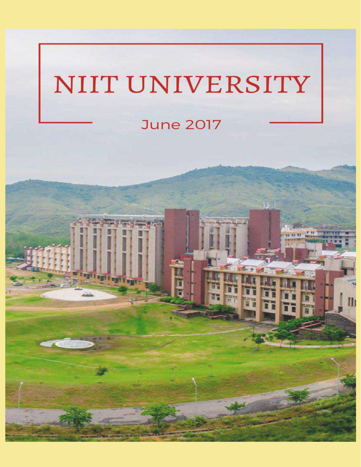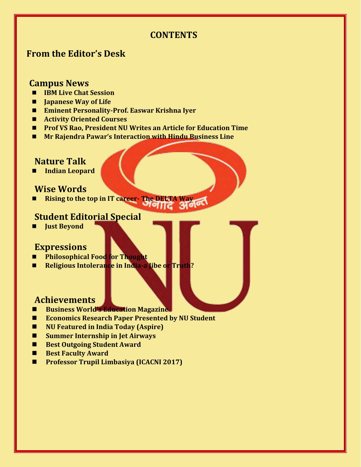# **CONTENTS**

# **From the Editor's Desk**

## **Campus News**

- **IBM Live Chat Session**
- $\blacksquare$  **Japanese Way of Life**
- **Eminent Personality-Prof. Easwar Krishna Iyer**
- **Activity Oriented Courses**
- **Prof VS Rao, President NU Writes an Article for Education Time**
- **Mr Rajendra Pawar's Interaction with Hindu Business Line**

## **Nature Talk**

 **Indian Leopard**

# **Wise Words**

 **Rising to the top in IT career- The DELTA Way**

# **Student Editorial Special**

 **Just Beyond**

# **Expressions**

- **Philosophical Food for Thought**
- **Religious Intolerance in India-a Jibe or Truth?**

## **Achievements**

- **Business World's Education Magazine**
- Economics Research Paper Presented by NU Student
- **NU Featured in India Today (Aspire)**
- **Summer Internship in Jet Airways**
- **Best Outgoing Student Award**
- **Best Faculty Award**
- **Professor Trupil Limbasiya (ICACNI 2017)**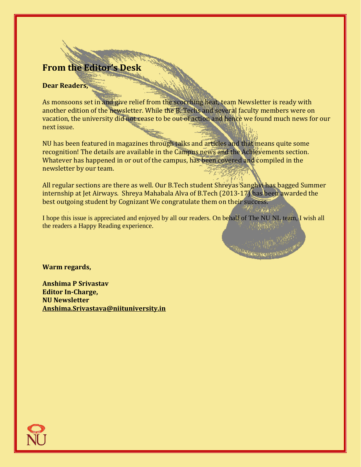# **From the Editor's Desk**

#### **Dear Readers,**

As monsoons set in and give relief from the scorching heat, team Newsletter is ready with another edition of the newsletter. While the B. Techs and several faculty members were on vacation, the university did not cease to be out of action and hence we found much news for our next issue.

NU has been featured in magazines through talks and articles and that means quite some recognition! The details are available in the Campus news and the Achievements section. Whatever has happened in or out of the campus, has been covered and compiled in the newsletter by our team.

All regular sections are there as well. Our B.Tech student Shreyas Sanghvi has bagged Summer internship at Jet Airways. Shreya Mahabala Alva of B.Tech (2013-17) has been awarded the best outgoing student by Cognizant We congratulate them on their success.

I hope this issue is appreciated and enjoyed by all our readers. On behalf of The NU NL team, I wish all the readers a Happy Reading experience.

**Warm regards,**

**Anshima P Srivastav Editor In-Charge, NU Newsletter [Anshima.Srivastava@niituniversity.in](mailto:Anshima.Srivastava@niituniversity.in)**

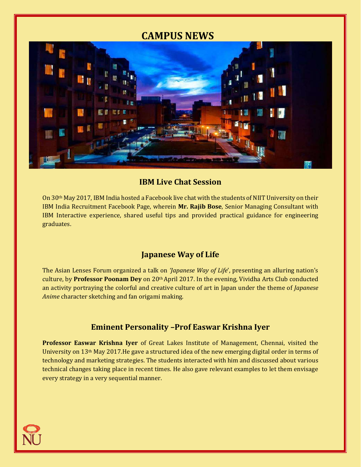# **CAMPUS NEWS**



## **IBM Live Chat Session**

On 30th May 2017, IBM India hosted a Facebook live chat with the students of NIIT University on their IBM India Recruitment Facebook Page, wherein **Mr. Rajib Bose**, Senior Managing Consultant with IBM Interactive experience, shared useful tips and provided practical guidance for engineering graduates.

# **Japanese Way of Life**

The Asian Lenses Forum organized a talk on *'Japanese Way of Life*', presenting an alluring nation's culture, by **Professor Poonam Dey** on 20th April 2017. In the evening, Vividha Arts Club conducted an activity portraying the colorful and creative culture of art in Japan under the theme of *Japanese Anime* character sketching and fan origami making.

# **Eminent Personality –Prof Easwar Krishna Iyer**

**Professor Easwar Krishna Iyer** of Great Lakes Institute of Management, Chennai, visited the University on  $13<sup>th</sup>$  May 2017. He gave a structured idea of the new emerging digital order in terms of technology and marketing strategies. The students interacted with him and discussed about various technical changes taking place in recent times. He also gave relevant examples to let them envisage every strategy in a very sequential manner.

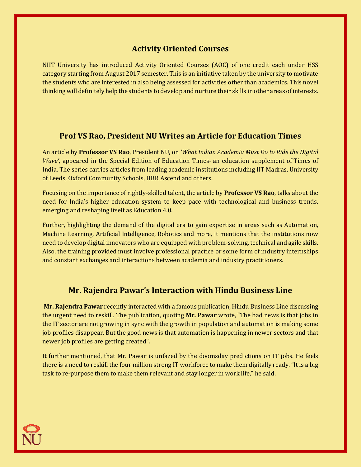# **Activity Oriented Courses**

NIIT University has introduced Activity Oriented Courses (AOC) of one credit each under HSS category starting from August 2017 semester. This is an initiative taken by the university to motivate the students who are interested in also being assessed for activities other than academics. This novel thinking will definitely help the students to develop and nurture their skills in other areas of interests.

## **Prof VS Rao, President NU Writes an Article for Education Times**

An article by **Professor VS Rao**, President NU, on *'What Indian Academia Must Do to Ride the Digital Wave'*, appeared in the Special Edition of Education Times- an education supplement of Times of India. The series carries articles from leading academic institutions including IIT Madras, University of Leeds, Oxford Community Schools, HBR Ascend and others.

Focusing on the importance of rightly-skilled talent, the article by **Professor VS Rao**, talks about the need for India's higher education system to keep pace with technological and business trends, emerging and reshaping itself as Education 4.0.

Further, highlighting the demand of the digital era to gain expertise in areas such as Automation, Machine Learning, Artificial Intelligence, Robotics and more, it mentions that the institutions now need to develop digital innovators who are equipped with problem-solving, technical and agile skills. Also, the training provided must involve professional practice or some form of industry internships and constant exchanges and interactions between academia and industry practitioners.

## **Mr. Rajendra Pawar's Interaction with Hindu Business Line**

**Mr. Rajendra Pawar** recently interacted with a famous publication, Hindu Business Line discussing the urgent need to reskill. The publication, quoting **Mr. Pawar** wrote, "The bad news is that jobs in the IT sector are not growing in sync with the growth in population and automation is making some job profiles disappear. But the good news is that automation is happening in newer sectors and that newer job profiles are getting created".

It further mentioned, that Mr. Pawar is unfazed by the doomsday predictions on IT jobs. He feels there is a need to reskill the four million strong IT workforce to make them digitally ready. "It is a big task to re-purpose them to make them relevant and stay longer in work life," he said.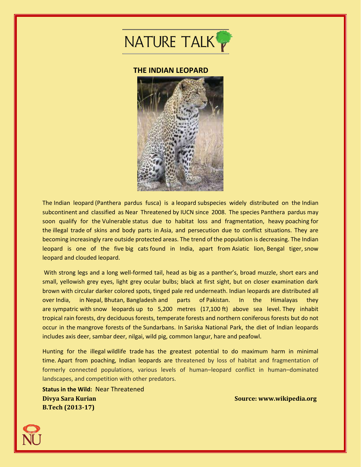

#### **THE INDIAN LEOPARD**



The Indian leopard (Panthera pardus fusca) is a leopard subspecies widely distributed on the Indian subcontinent and classified as Near Threatened by IUCN since 2008. The species Panthera pardus may soon qualify for the Vulnerable status due to habitat loss and fragmentation, heavy poaching for the illegal trade of skins and body parts in Asia, and persecution due to conflict situations. They are becoming increasingly rare outside protected areas. The trend of the population is decreasing. The Indian leopard is one of the five big cats found in India, apart from Asiatic lion, Bengal tiger, snow leopard and clouded leopard.

With strong legs and a long well-formed tail, head as big as a panther's, broad muzzle, short ears and small, yellowish grey eyes, light grey ocular bulbs; black at first sight, but on closer examination dark brown with circular darker colored spots, tinged pale red underneath. Indian leopards are distributed all over India, in Nepal, Bhutan, Bangladesh and parts of Pakistan. In the Himalayas they are sympatric with snow leopards up to 5,200 metres (17,100 ft) above sea level. They inhabit tropical rain forests, dry deciduous forests, temperate forests and northern coniferous forests but do not occur in the mangrove forests of the Sundarbans. In Sariska National Park, the diet of Indian leopards includes axis deer, sambar deer, nilgai, wild pig, common langur, hare and peafowl.

Hunting for the illegal wildlife trade has the greatest potential to do maximum harm in minimal time. Apart from poaching, Indian leopards are threatened by loss of habitat and fragmentation of formerly connected populations, various levels of human–leopard conflict in human–dominated landscapes, and competition with other predators.

**Status in the Wild:** Near Threatened **Divya Sara Kurian Source: www.wikipedia.org B.Tech (2013-17)**

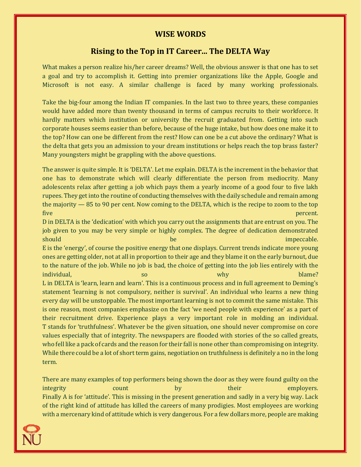#### **WISE WORDS**

### **Rising to the Top in IT Career... The DELTA Way**

What makes a person realize his/her career dreams? Well, the obvious answer is that one has to set a goal and try to accomplish it. Getting into premier organizations like the Apple, Google and Microsoft is not easy. A similar challenge is faced by many working professionals.

Take the big-four among the Indian IT companies. In the last two to three years, these companies would have added more than twenty thousand in terms of campus recruits to their workforce. It hardly matters which institution or university the recruit graduated from. Getting into such corporate houses seems easier than before, because of the huge intake, but how does one make it to the top? How can one be different from the rest? How can one be a cut above the ordinary? What is the delta that gets you an admission to your dream institutions or helps reach the top brass faster? Many youngsters might be grappling with the above questions.

The answer is quite simple. It is 'DELTA'. Let me explain. DELTA is the increment in the behavior that one has to demonstrate which will clearly differentiate the person from mediocrity. Many adolescents relax after getting a job which pays them a yearly income of a good four to five lakh rupees. They get into the routine of conducting themselves with the daily schedule and remain among the majority — 85 to 90 per cent. Now coming to the DELTA, which is the recipe to zoom to the top five percent.

D in DELTA is the 'dedication' with which you carry out the assignments that are entrust on you. The job given to you may be very simple or highly complex. The degree of dedication demonstrated should be impeccable. The impeccable impeccable impeccable. E is the 'energy', of course the positive energy that one displays. Current trends indicate more young ones are getting older, not at all in proportion to their age and they blame it on the early burnout, due to the nature of the job. While no job is bad, the choice of getting into the job lies entirely with the individual, the contract of the south of the south of the south of the south of the south of the south of the s L in DELTA is 'learn, learn and learn'. This is a continuous process and in full agreement to Deming's statement 'learning is not compulsory, neither is survival'. An individual who learns a new thing every day will be unstoppable. The most important learning is not to commit the same mistake. This is one reason, most companies emphasize on the fact 'we need people with experience' as a part of their recruitment drive. Experience plays a very important role in molding an individual. T stands for 'truthfulness'. Whatever be the given situation, one should never compromise on core values especially that of integrity. The newspapers are flooded with stories of the so called greats, who fell like a pack of cards and the reason for their fall is none other than compromising on integrity. While there could be a lot of short term gains, negotiation on truthfulness is definitely a no in the long term.

There are many examples of top performers being shown the door as they were found guilty on the integrity count count by their employers. Finally A is for 'attitude'. This is missing in the present generation and sadly in a very big way. Lack of the right kind of attitude has killed the careers of many prodigies. Most employees are working with a mercenary kind of attitude which is very dangerous. For a few dollars more, people are making

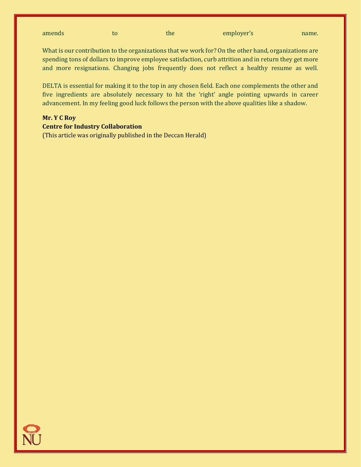| amends |  | the | employer's | name. |
|--------|--|-----|------------|-------|
|--------|--|-----|------------|-------|

What is our contribution to the organizations that we work for? On the other hand, organizations are spending tons of dollars to improve employee satisfaction, curb attrition and in return they get more and more resignations. Changing jobs frequently does not reflect a healthy resume as well.

DELTA is essential for making it to the top in any chosen field. Each one complements the other and five ingredients are absolutely necessary to hit the 'right' angle pointing upwards in career advancement. In my feeling good luck follows the person with the above qualities like a shadow.

#### **Mr. Y C Roy**

#### **Centre for Industry Collaboration**

(This article was originally published in the Deccan Herald)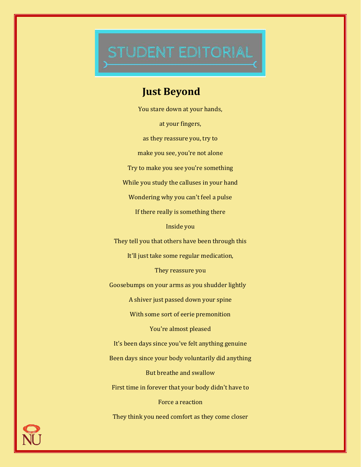# STUDENT EDITORIAL

# **Just Beyond**

You stare down at your hands, at your fingers, as they reassure you, try to make you see, you're not alone Try to make you see you're something While you study the calluses in your hand Wondering why you can't feel a pulse If there really is something there Inside you They tell you that others have been through this It'll just take some regular medication, They reassure you Goosebumps on your arms as you shudder lightly A shiver just passed down your spine With some sort of eerie premonition You're almost pleased It's been days since you've felt anything genuine Been days since your body voluntarily did anything But breathe and swallow First time in forever that your body didn't have to Force a reaction They think you need comfort as they come closer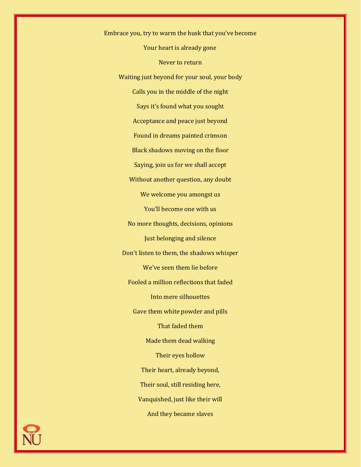Embrace you, try to warm the husk that you've become Your heart is already gone Never to return Waiting just beyond for your soul, your body Calls you in the middle of the night Says it's found what you sought Acceptance and peace just beyond Found in dreams painted crimson Black shadows moving on the floor Saying, join us for we shall accept Without another question, any doubt We welcome you amongst us You'll become one with us No more thoughts, decisions, opinions Just belonging and silence Don't listen to them, the shadows whisper We've seen them lie before Fooled a million reflections that faded Into mere silhouettes Gave them white powder and pills That faded them Made them dead walking Their eyes hollow Their heart, already beyond, Their soul, still residing here, Vanquished, just like their will And they became slaves

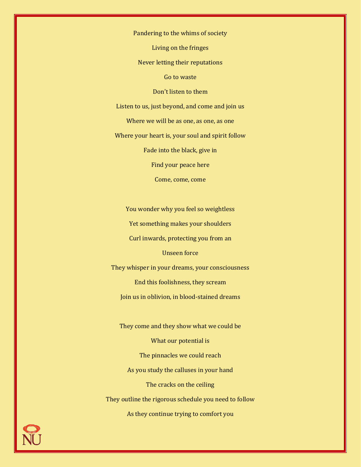Pandering to the whims of society

Living on the fringes

Never letting their reputations

Go to waste

Don't listen to them

Listen to us, just beyond, and come and join us

Where we will be as one, as one, as one

Where your heart is, your soul and spirit follow

Fade into the black, give in

Find your peace here

Come, come, come

You wonder why you feel so weightless Yet something makes your shoulders Curl inwards, protecting you from an

Unseen force

They whisper in your dreams, your consciousness End this foolishness, they scream Join us in oblivion, in blood-stained dreams

They come and they show what we could be What our potential is The pinnacles we could reach As you study the calluses in your hand The cracks on the ceiling They outline the rigorous schedule you need to follow As they continue trying to comfort you

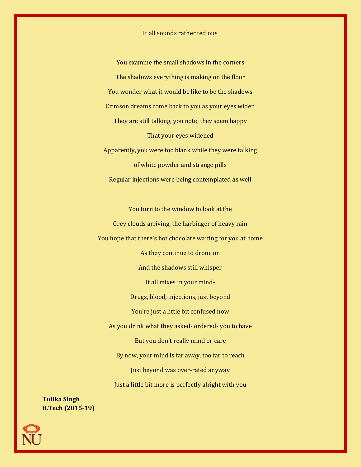It all sounds rather tedious

You examine the small shadows in the corners The shadows everything is making on the floor You wonder what it would be like to be the shadows Crimson dreams come back to you as your eyes widen They are still talking, you note, they seem happy That your eyes widened Apparently, you were too blank while they were talking of white powder and strange pills Regular injections were being contemplated as well

You turn to the window to look at the Grey clouds arriving, the harbinger of heavy rain You hope that there's hot chocolate waiting for you at home As they continue to drone on And the shadows still whisper It all mixes in your mind-Drugs, blood, injections, just beyond You're just a little bit confused now As you drink what they asked- ordered- you to have But you don't really mind or care By now, your mind is far away, too far to reach Just beyond was over-rated anyway Just a little bit more is perfectly alright with you

**Tulika Singh B.Tech (2015-19)**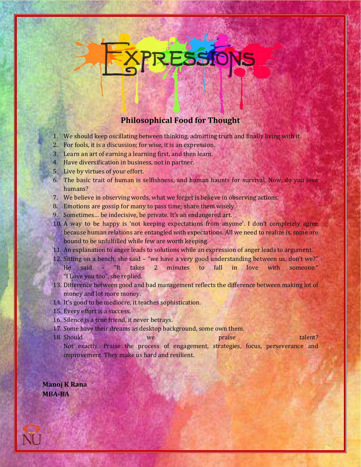# **Philosophical Food for Thought**

ESSIO

- 1. We should keep oscillating between thinking, admitting truth and finally living with it.
- 2. For fools, it is a discussion; for wise, it is an expression.
- 3. Learn an art of earning a learning first, and then learn.
- 4. Have diversification in business, not in partner.
- 5. Live by virtues of your effort.
- 6. The basic trait of human is selfishness, and human haunts for survival. Now, do you love humans?
- 7. We believe in observing words, what we forget is believe in observing actions.
- 8. Emotions are gossip for many to pass time; share them wisely.
- 9. Sometimes… be indecisive, be private. It's an endangered art.
- 10. A way to be happy is 'not keeping expectations from anyone'. I don't completely agree because human relations are entangled with expectations. All we need to realize is, some are bound to be unfulfilled while few are worth keeping.
- 11. An explanation to anger leads to solutions while an expression of anger leads to argument.
- 12. Sitting on a bench, she said "we have a very good understanding between us, don't we?" He said – "It takes 2 minutes to fall in love with someone." "I Love you too", she replied.
- 13. Difference between good and bad management reflects the difference between making lot of money and lot more money.
- 14. It's good to be mediocre, it teaches sophistication.
- 15. Every effort is a success.
- 16. Silence is a true friend, it never betrays.
- 17. Some have their dreams as desktop background, some own them.
- **18. Should we we praise talent?** Not exactly. Praise the process of engagement, strategies, focus, perseverance and
	- improvement. They make us hard and resilient.

**Manoj K Rana MBA-BA**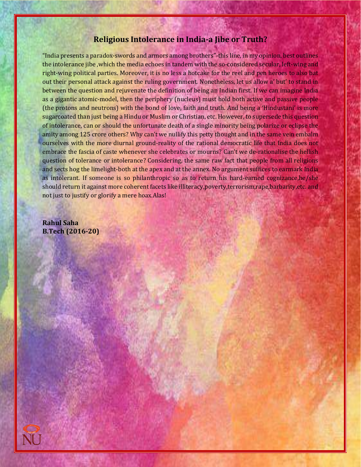#### **Religious Intolerance in India-a Jibe or Truth?**

"India presents a paradox-swords and armors among brothers"-this line, in my opinion, best outlines the intolerance jibe ,which the media echoes in tandem with the so-considered secular, left-wing and right-wing political parties. Moreover, it is no less a hotcake for the reel and pen heroes to also bat out their personal attack against the ruling government. Nonetheless, let us allow a' but' to stand in between the question and rejuvenate the definition of being an Indian first. If we can imagine India as a gigantic atomic-model, then the periphery (nucleus) must hold both active and passive people (the protons and neutrons) with the bond of love, faith and truth. And being a 'Hindustani' is more sugarcoated than just being a Hindu or Muslim or Christian, etc. However, to supersede this question of intolerance, can or should the unfortunate death of a single minority being polarize or eclipse the amity among 125 crore others? Why can't we nullify this petty thought and in the same vein embalm ourselves with the more diurnal ground-reality of the rational democratic life that India does not embrace the fascia of caste whenever she celebrates or mourns? Can't we de-rationalise the hellish question of tolerance or intolerance? Considering, the same raw fact that people from all religions and sects hog the limelight-both at the apex and at the annex. No argument suffices to earmark India as intolerant. If someone is so philanthropic so as to return his hard-earned cognizance,he/she should return it against more coherent facets like illiteracy,poverty,terrorism,rape,barbarity,etc. and not just to justify or glorify a mere hoax.Alas!

**Rahul Saha B.Tech (2016-20)**

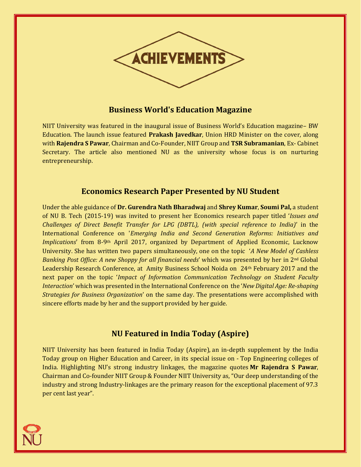

## **Business World's Education Magazine**

NIIT University was featured in the inaugural issue of Business World's Education magazine– BW Education. The launch issue featured **Prakash Javedkar**, Union HRD Minister on the cover, along with **Rajendra S Pawar**, Chairman and Co-Founder, NIIT Group and **TSR Subramanian**, Ex- Cabinet Secretary. The article also mentioned NU as the university whose focus is on nurturing entrepreneurship.

## **Economics Research Paper Presented by NU Student**

Under the able guidance of **Dr. Gurendra Nath Bharadwaj** and **Shrey Kumar**, **Soumi Pal,** a student of NU B. Tech (2015-19) was invited to present her Economics research paper titled '*Issues and Challenges of Direct Benefit Transfer for LPG (DBTL), (with special reference to India)*' in the International Conference on '*Emerging India and Second Generation Reforms: Initiatives and Implications*' from 8-9th April 2017, organized by Department of Applied Economic, Lucknow University. She has written two papers simultaneously, one on the topic '*A New Model of Cashless Banking Post Office: A new Shoppy for all financial needs*' which was presented by her in 2nd Global Leadership Research Conference, at Amity Business School Noida on 24<sup>th</sup> February 2017 and the next paper on the topic '*Impact of Information Communication Technology on Student Faculty Interaction*' which was presented in the International Conference on the '*New Digital Age: Re-shaping Strategies for Business Organization*' on the same day. The presentations were accomplished with sincere efforts made by her and the support provided by her guide.

# **NU Featured in India Today (Aspire)**

NIIT University has been featured in India Today (Aspire), an in-depth supplement by the India Today group on Higher Education and Career, in its special issue on - Top Engineering colleges of India. Highlighting NU's strong industry linkages, the magazine quotes **Mr Rajendra S Pawar**, Chairman and Co-founder NIIT Group & Founder NIIT University as, "Our deep understanding of the industry and strong Industry-linkages are the primary reason for the exceptional placement of 97.3 per cent last year".

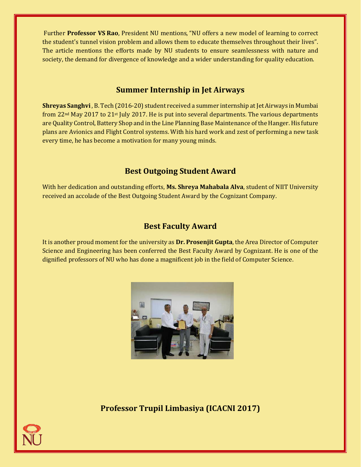Further **Professor VS Rao**, President NU mentions, "NU offers a new model of learning to correct the student's tunnel vision problem and allows them to educate themselves throughout their lives". The article mentions the efforts made by NU students to ensure seamlessness with nature and society, the demand for divergence of knowledge and a wider understanding for quality education.

## **Summer Internship in Jet Airways**

**Shreyas Sanghvi** , B. Tech (2016-20) student received a summer internship at Jet Airways in Mumbai from  $22<sup>nd</sup>$  May 2017 to  $21<sup>st</sup>$  July 2017. He is put into several departments. The various departments are Quality Control, Battery Shop and in the Line Planning Base Maintenance of the Hanger. His future plans are Avionics and Flight Control systems. With his hard work and zest of performing a new task every time, he has become a motivation for many young minds.

# **Best Outgoing Student Award**

With her dedication and outstanding efforts, **Ms. Shreya Mahabala Alva**, student of NIIT University received an accolade of the Best Outgoing Student Award by the Cognizant Company.

# **Best Faculty Award**

It is another proud moment for the university as **Dr. Prosenjit Gupta**, the Area Director of Computer Science and Engineering has been conferred the Best Faculty Award by Cognizant. He is one of the dignified professors of NU who has done a magnificent job in the field of Computer Science.



**Professor Trupil Limbasiya (ICACNI 2017)**